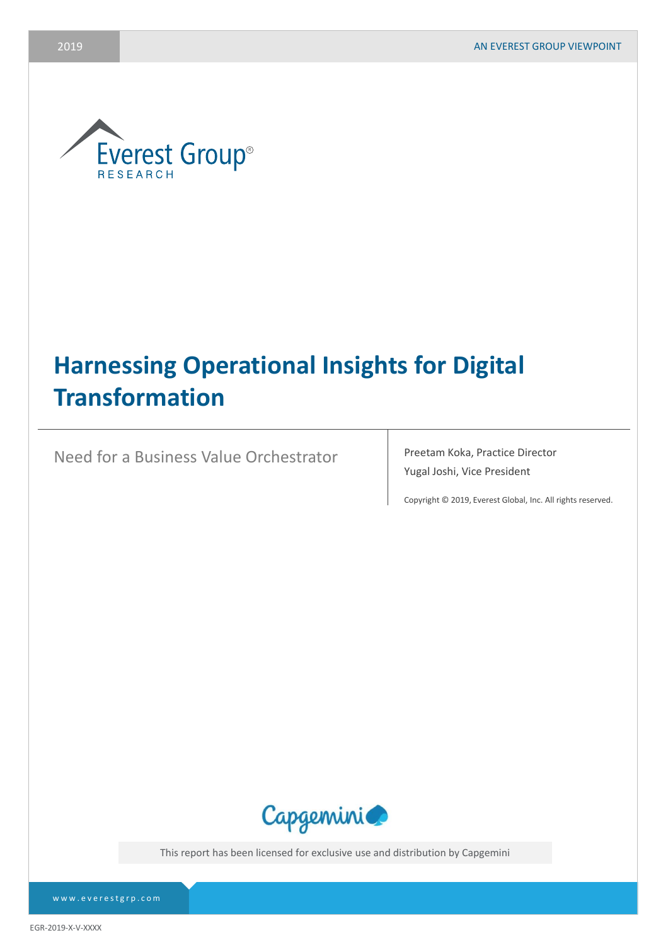

# **Harnessing Operational Insights for Digital Transformation**

Need for a Business Value Orchestrator Preetam Koka, Practice Director

Yugal Joshi, Vice President

Copyright © 2019, Everest Global, Inc. All rights reserved.



This report has been licensed for exclusive use and distribution by Capgemini

www.everestgrp.com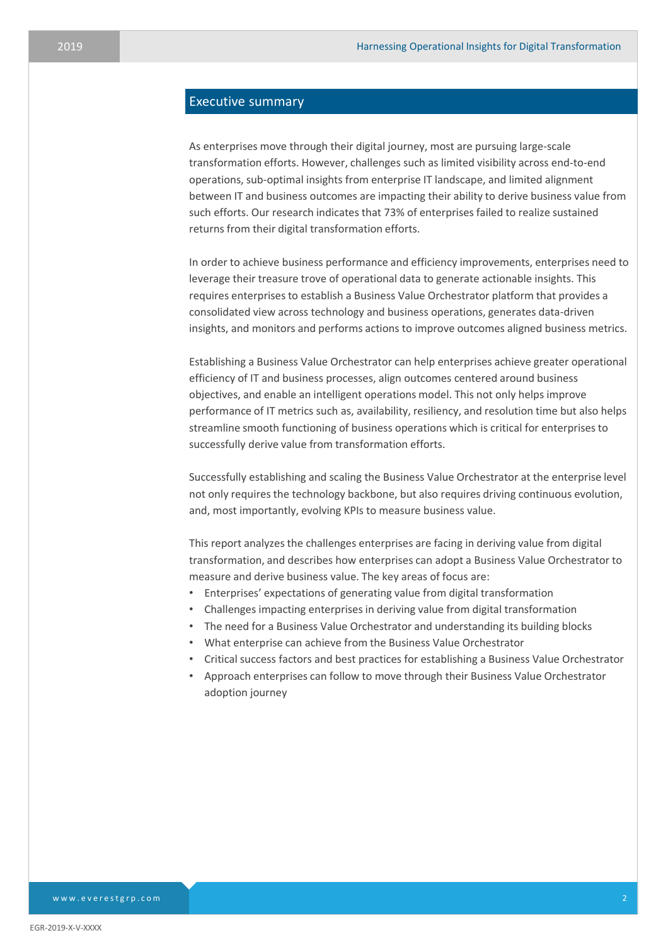# Executive summary

As enterprises move through their digital journey, most are pursuing large-scale transformation efforts. However, challenges such as limited visibility across end-to-end operations, sub-optimal insights from enterprise IT landscape, and limited alignment between IT and business outcomes are impacting their ability to derive business value from such efforts. Our research indicates that 73% of enterprises failed to realize sustained returns from their digital transformation efforts.

In order to achieve business performance and efficiency improvements, enterprises need to leverage their treasure trove of operational data to generate actionable insights. This requires enterprises to establish a Business Value Orchestrator platform that provides a consolidated view across technology and business operations, generates data-driven insights, and monitors and performs actions to improve outcomes aligned business metrics.

Establishing a Business Value Orchestrator can help enterprises achieve greater operational efficiency of IT and business processes, align outcomes centered around business objectives, and enable an intelligent operations model. This not only helps improve performance of IT metrics such as, availability, resiliency, and resolution time but also helps streamline smooth functioning of business operations which is critical for enterprises to successfully derive value from transformation efforts.

Successfully establishing and scaling the Business Value Orchestrator at the enterprise level not only requires the technology backbone, but also requires driving continuous evolution, and, most importantly, evolving KPIs to measure business value.

This report analyzes the challenges enterprises are facing in deriving value from digital transformation, and describes how enterprises can adopt a Business Value Orchestrator to measure and derive business value. The key areas of focus are:

- Enterprises' expectations of generating value from digital transformation
- Challenges impacting enterprises in deriving value from digital transformation
- The need for a Business Value Orchestrator and understanding its building blocks
- What enterprise can achieve from the Business Value Orchestrator
- Critical success factors and best practices for establishing a Business Value Orchestrator
- Approach enterprises can follow to move through their Business Value Orchestrator adoption journey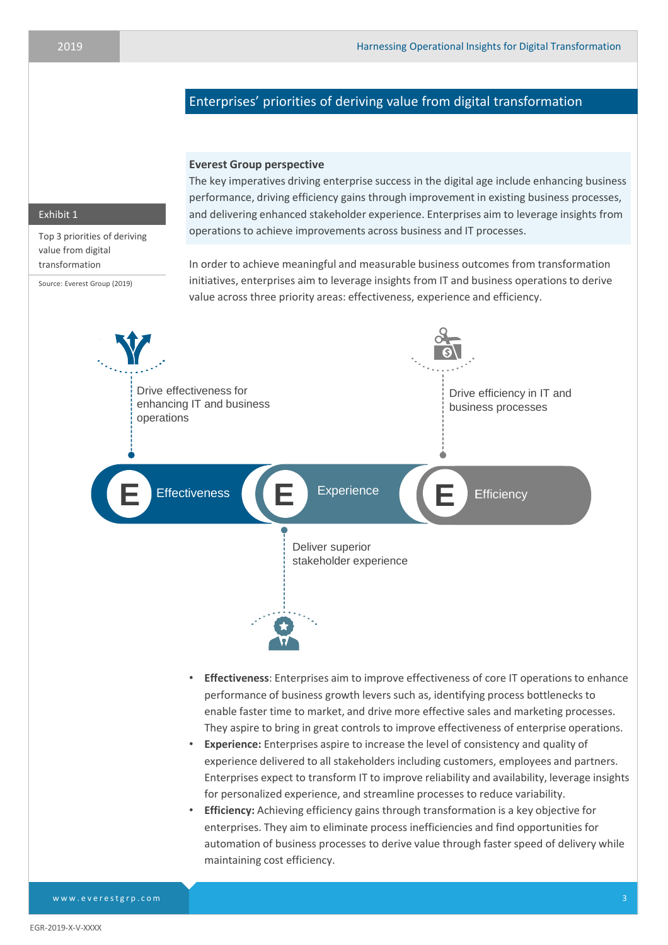# Enterprises' priorities of deriving value from digital transformation

# **Everest Group perspective**

The key imperatives driving enterprise success in the digital age include enhancing business performance, driving efficiency gains through improvement in existing business processes, and delivering enhanced stakeholder experience. Enterprises aim to leverage insights from operations to achieve improvements across business and IT processes.

## Exhibit 1

Top 3 priorities of deriving value from digital transformation

Source: Everest Group (2019)

In order to achieve meaningful and measurable business outcomes from transformation initiatives, enterprises aim to leverage insights from IT and business operations to derive value across three priority areas: effectiveness, experience and efficiency.



experience delivered to all stakeholders including customers, employees and partners. Enterprises expect to transform IT to improve reliability and availability, leverage insights for personalized experience, and streamline processes to reduce variability.

• **Efficiency:** Achieving efficiency gains through transformation is a key objective for enterprises. They aim to eliminate process inefficiencies and find opportunities for automation of business processes to derive value through faster speed of delivery while maintaining cost efficiency.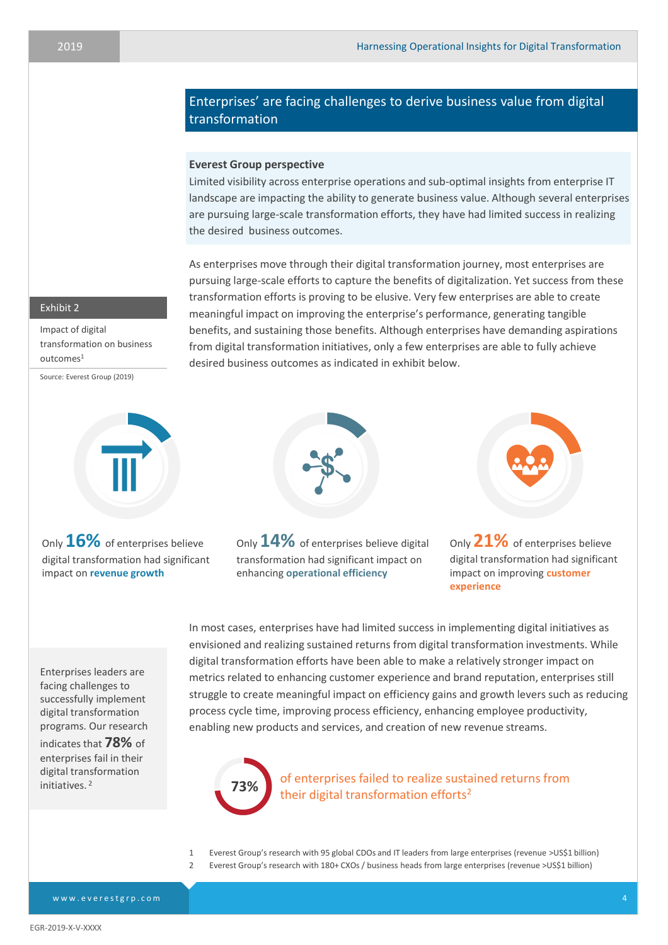# Enterprises' are facing challenges to derive business value from digital transformation

# **Everest Group perspective**

Limited visibility across enterprise operations and sub-optimal insights from enterprise IT landscape are impacting the ability to generate business value. Although several enterprises are pursuing large-scale transformation efforts, they have had limited success in realizing the desired business outcomes.

As enterprises move through their digital transformation journey, most enterprises are pursuing large-scale efforts to capture the benefits of digitalization. Yet success from these transformation efforts is proving to be elusive. Very few enterprises are able to create meaningful impact on improving the enterprise's performance, generating tangible benefits, and sustaining those benefits. Although enterprises have demanding aspirations from digital transformation initiatives, only a few enterprises are able to fully achieve desired business outcomes as indicated in exhibit below.

# Exhibit 2

Impact of digital transformation on business  $outcomes<sup>1</sup>$ 

Source: Everest Group (2019)



Only **16%** of enterprises believe digital transformation had significant impact on **revenue growth**



Only**14%** of enterprises believe digital transformation had significant impact on enhancing **operational efficiency**

Only**21%** of enterprises believe digital transformation had significant impact on improving **customer experience**

Enterprises leaders are facing challenges to successfully implement digital transformation programs. Our research

indicates that **78%** of enterprises fail in their digital transformation initiatives. <sup>2</sup>

process cycle time, improving process efficiency, enhancing employee productivity, enabling new products and services, and creation of new revenue streams. of enterprises failed to realize sustained returns from



In most cases, enterprises have had limited success in implementing digital initiatives as envisioned and realizing sustained returns from digital transformation investments. While digital transformation efforts have been able to make a relatively stronger impact on metrics related to enhancing customer experience and brand reputation, enterprises still struggle to create meaningful impact on efficiency gains and growth levers such as reducing

- 1 Everest Group's research with 95 global CDOs and IT leaders from large enterprises (revenue >US\$1 billion)
- 2 Everest Group's research with 180+ CXOs / business heads from large enterprises (revenue >US\$1 billion)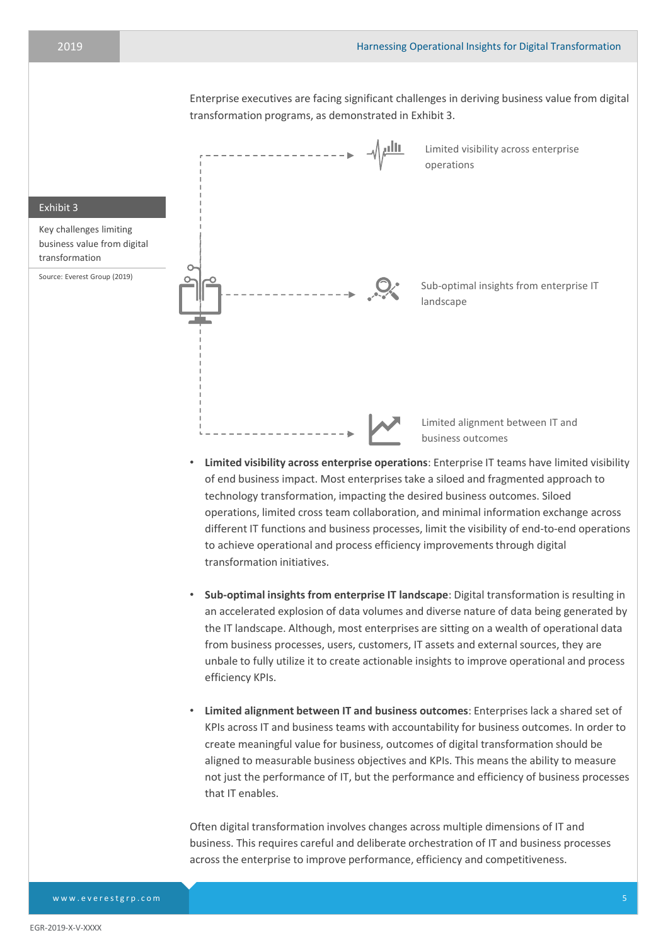Enterprise executives are facing significant challenges in deriving business value from digital transformation programs, as demonstrated in Exhibit 3.



- **Sub-optimal insights from enterprise IT landscape**: Digital transformation is resulting in an accelerated explosion of data volumes and diverse nature of data being generated by the IT landscape. Although, most enterprises are sitting on a wealth of operational data from business processes, users, customers, IT assets and external sources, they are unbale to fully utilize it to create actionable insights to improve operational and process efficiency KPIs.
- **Limited alignment between IT and business outcomes**: Enterprises lack a shared set of KPIs across IT and business teams with accountability for business outcomes. In order to create meaningful value for business, outcomes of digital transformation should be aligned to measurable business objectives and KPIs. This means the ability to measure not just the performance of IT, but the performance and efficiency of business processes that IT enables.

Often digital transformation involves changes across multiple dimensions of IT and business. This requires careful and deliberate orchestration of IT and business processes across the enterprise to improve performance, efficiency and competitiveness.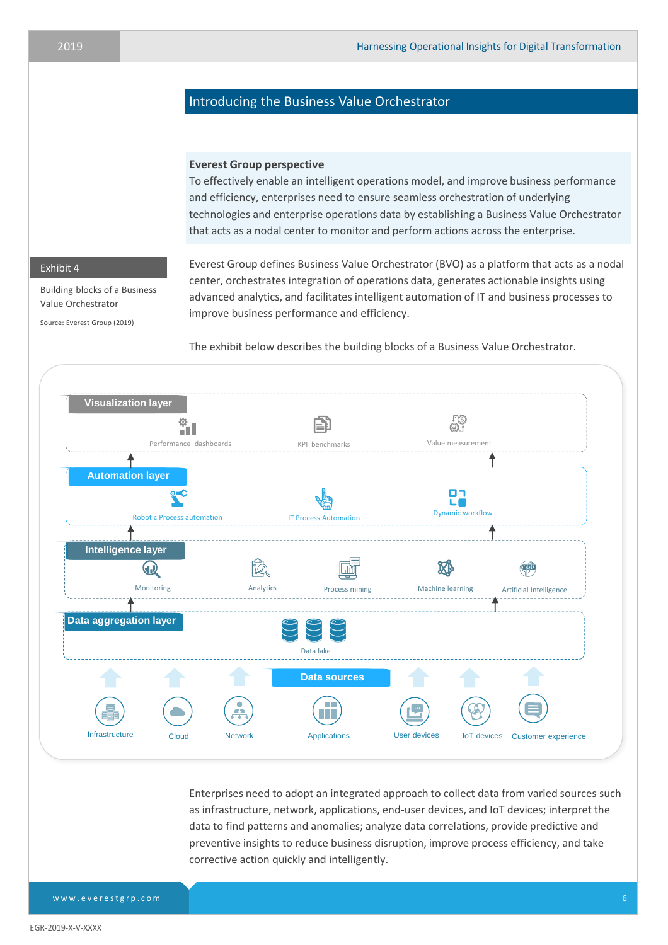# Introducing the Business Value Orchestrator

# **Everest Group perspective**

To effectively enable an intelligent operations model, and improve business performance and efficiency, enterprises need to ensure seamless orchestration of underlying technologies and enterprise operations data by establishing a Business Value Orchestrator that acts as a nodal center to monitor and perform actions across the enterprise.

# Exhibit 4

Building blocks of a Business Value Orchestrator

Source: Everest Group (2019)

Everest Group defines Business Value Orchestrator (BVO) as a platform that acts as a nodal center, orchestrates integration of operations data, generates actionable insights using advanced analytics, and facilitates intelligent automation of IT and business processes to improve business performance and efficiency.

The exhibit below describes the building blocks of a Business Value Orchestrator.



Enterprises need to adopt an integrated approach to collect data from varied sources such as infrastructure, network, applications, end-user devices, and IoT devices; interpret the data to find patterns and anomalies; analyze data correlations, provide predictive and preventive insights to reduce business disruption, improve process efficiency, and take corrective action quickly and intelligently.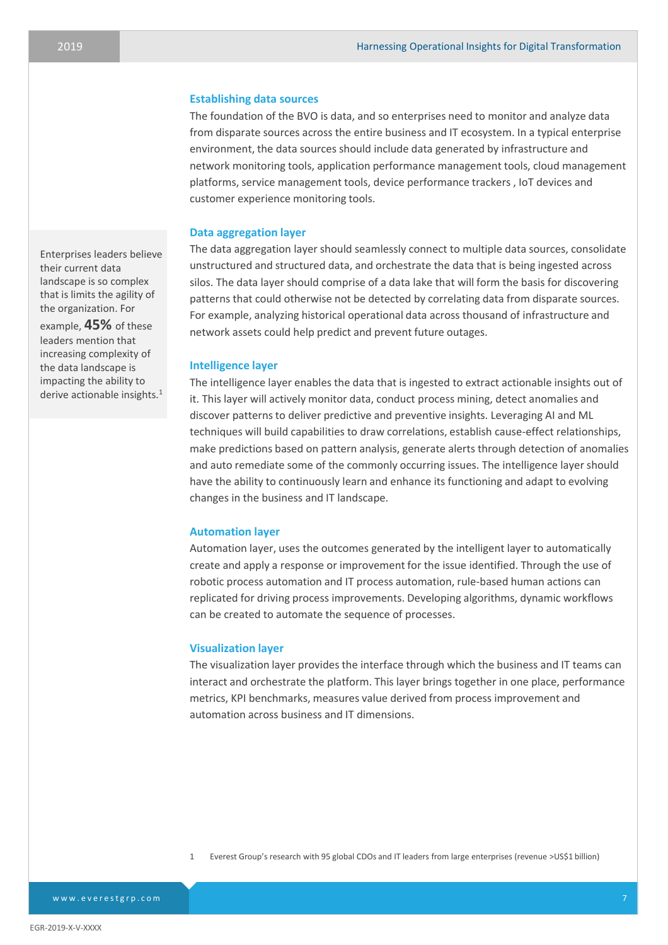#### **Establishing data sources**

The foundation of the BVO is data, and so enterprises need to monitor and analyze data from disparate sources across the entire business and IT ecosystem. In a typical enterprise environment, the data sources should include data generated by infrastructure and network monitoring tools, application performance management tools, cloud management platforms, service management tools, device performance trackers , IoT devices and customer experience monitoring tools.

#### **Data aggregation layer**

The data aggregation layer should seamlessly connect to multiple data sources, consolidate unstructured and structured data, and orchestrate the data that is being ingested across silos. The data layer should comprise of a data lake that will form the basis for discovering patterns that could otherwise not be detected by correlating data from disparate sources. For example, analyzing historical operational data across thousand of infrastructure and network assets could help predict and prevent future outages.

## **Intelligence layer**

The intelligence layer enables the data that is ingested to extract actionable insights out of it. This layer will actively monitor data, conduct process mining, detect anomalies and discover patterns to deliver predictive and preventive insights. Leveraging AI and ML techniques will build capabilities to draw correlations, establish cause-effect relationships, make predictions based on pattern analysis, generate alerts through detection of anomalies and auto remediate some of the commonly occurring issues. The intelligence layer should have the ability to continuously learn and enhance its functioning and adapt to evolving changes in the business and IT landscape.

#### **Automation layer**

Automation layer, uses the outcomes generated by the intelligent layer to automatically create and apply a response or improvement for the issue identified. Through the use of robotic process automation and IT process automation, rule-based human actions can replicated for driving process improvements. Developing algorithms, dynamic workflows can be created to automate the sequence of processes.

#### **Visualization layer**

The visualization layer provides the interface through which the business and IT teams can interact and orchestrate the platform. This layer brings together in one place, performance metrics, KPI benchmarks, measures value derived from process improvement and automation across business and IT dimensions.

Enterprises leaders believe their current data landscape is so complex that is limits the agility of the organization. For example, **45%** of these leaders mention that increasing complexity of the data landscape is

impacting the ability to derive actionable insights.<sup>1</sup>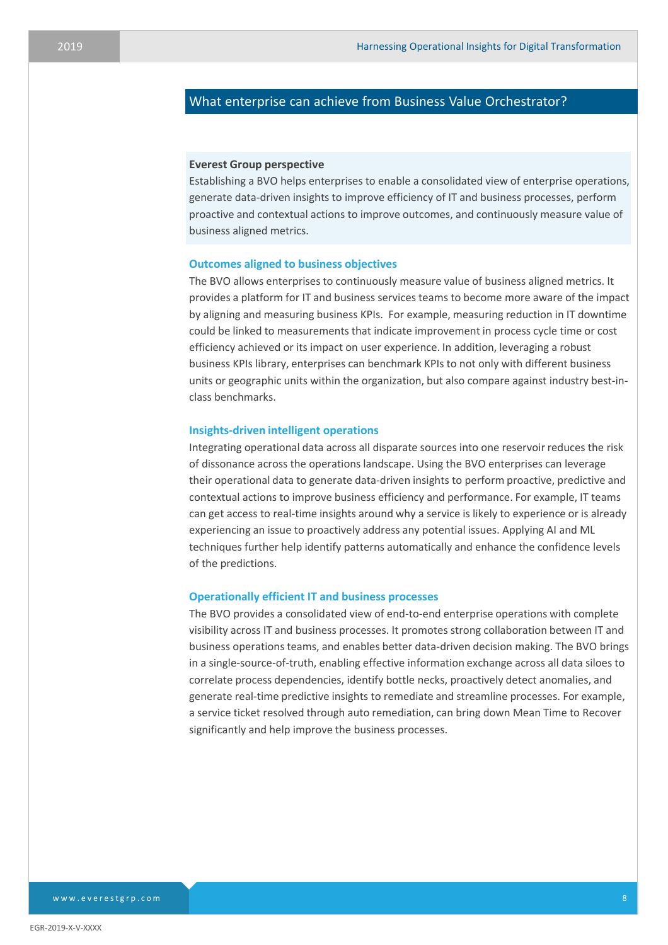# What enterprise can achieve from Business Value Orchestrator?

#### **Everest Group perspective**

Establishing a BVO helps enterprises to enable a consolidated view of enterprise operations, generate data-driven insights to improve efficiency of IT and business processes, perform proactive and contextual actions to improve outcomes, and continuously measure value of business aligned metrics.

#### **Outcomes aligned to business objectives**

The BVO allows enterprises to continuously measure value of business aligned metrics. It provides a platform for IT and business services teams to become more aware of the impact by aligning and measuring business KPIs. For example, measuring reduction in IT downtime could be linked to measurements that indicate improvement in process cycle time or cost efficiency achieved or its impact on user experience. In addition, leveraging a robust business KPIs library, enterprises can benchmark KPIs to not only with different business units or geographic units within the organization, but also compare against industry best-inclass benchmarks.

## **Insights-driven intelligent operations**

Integrating operational data across all disparate sources into one reservoir reduces the risk of dissonance across the operations landscape. Using the BVO enterprises can leverage their operational data to generate data-driven insights to perform proactive, predictive and contextual actions to improve business efficiency and performance. For example, IT teams can get access to real-time insights around why a service is likely to experience or is already experiencing an issue to proactively address any potential issues. Applying AI and ML techniques further help identify patterns automatically and enhance the confidence levels of the predictions.

#### **Operationally efficient IT and business processes**

The BVO provides a consolidated view of end-to-end enterprise operations with complete visibility across IT and business processes. It promotes strong collaboration between IT and business operations teams, and enables better data-driven decision making. The BVO brings in a single-source-of-truth, enabling effective information exchange across all data siloes to correlate process dependencies, identify bottle necks, proactively detect anomalies, and generate real-time predictive insights to remediate and streamline processes. For example, a service ticket resolved through auto remediation, can bring down Mean Time to Recover significantly and help improve the business processes.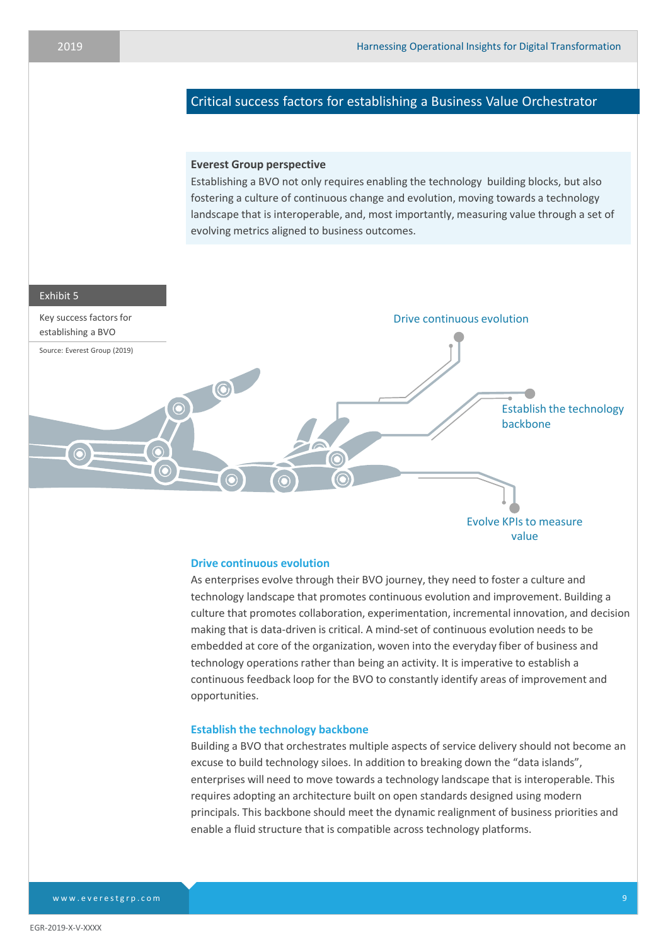# Critical success factors for establishing a Business Value Orchestrator

## **Everest Group perspective**

Establishing a BVO not only requires enabling the technology building blocks, but also fostering a culture of continuous change and evolution, moving towards a technology landscape that is interoperable, and, most importantly, measuring value through a set of evolving metrics aligned to business outcomes.

#### Exhibit 5



# **Drive continuous evolution**

As enterprises evolve through their BVO journey, they need to foster a culture and technology landscape that promotes continuous evolution and improvement. Building a culture that promotes collaboration, experimentation, incremental innovation, and decision making that is data-driven is critical. A mind-set of continuous evolution needs to be embedded at core of the organization, woven into the everyday fiber of business and technology operations rather than being an activity. It is imperative to establish a continuous feedback loop for the BVO to constantly identify areas of improvement and opportunities.

#### **Establish the technology backbone**

Building a BVO that orchestrates multiple aspects of service delivery should not become an excuse to build technology siloes. In addition to breaking down the "data islands", enterprises will need to move towards a technology landscape that is interoperable. This requires adopting an architecture built on open standards designed using modern principals. This backbone should meet the dynamic realignment of business priorities and enable a fluid structure that is compatible across technology platforms.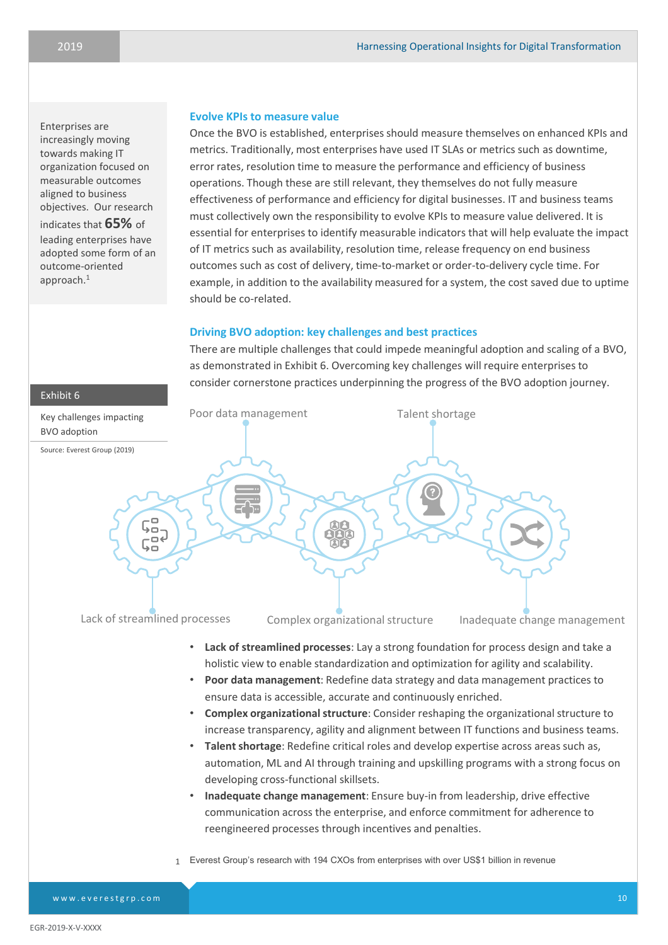# Enterprises are increasingly moving towards making IT organization focused on measurable outcomes aligned to business objectives. Our research indicates that **65%** of leading enterprises have adopted some form of an outcome-oriented approach.<sup>1</sup>

## **Evolve KPIs to measure value**

Once the BVO is established, enterprises should measure themselves on enhanced KPIs and metrics. Traditionally, most enterprises have used IT SLAs or metrics such as downtime, error rates, resolution time to measure the performance and efficiency of business operations. Though these are still relevant, they themselves do not fully measure effectiveness of performance and efficiency for digital businesses. IT and business teams must collectively own the responsibility to evolve KPIs to measure value delivered. It is essential for enterprises to identify measurable indicators that will help evaluate the impact of IT metrics such as availability, resolution time, release frequency on end business outcomes such as cost of delivery, time-to-market or order-to-delivery cycle time. For example, in addition to the availability measured for a system, the cost saved due to uptime should be co-related.

# **Driving BVO adoption: key challenges and best practices**

There are multiple challenges that could impede meaningful adoption and scaling of a BVO, as demonstrated in Exhibit 6. Overcoming key challenges will require enterprises to consider cornerstone practices underpinning the progress of the BVO adoption journey.



www.everestgrp.com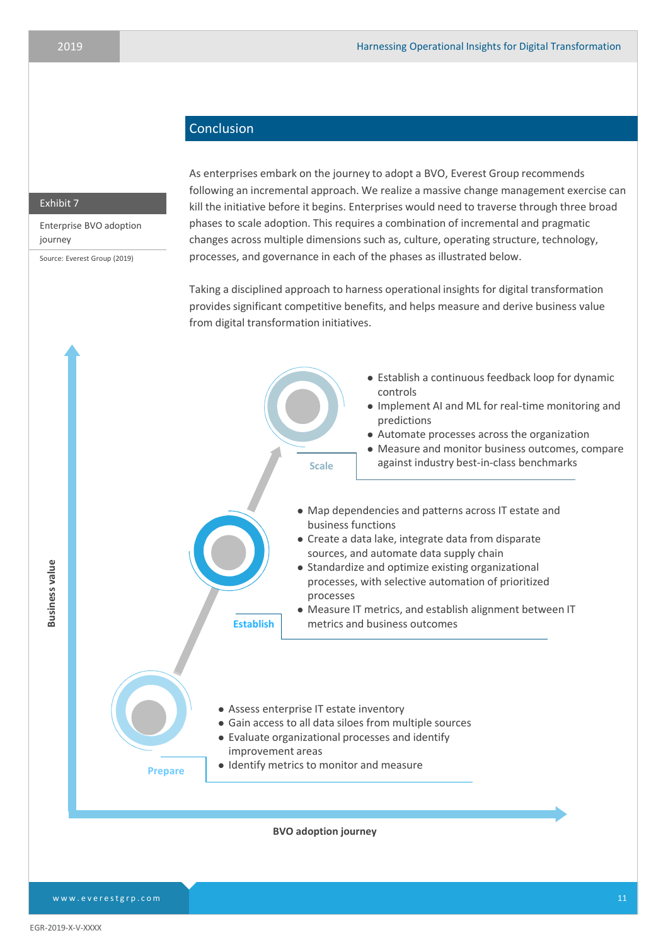# Conclusion

## Exhibit 7

Enterprise BVO adoption journey

Source: Everest Group (2019)

As enterprises embark on the journey to adopt a BVO, Everest Group recommends following an incremental approach. We realize a massive change management exercise can kill the initiative before it begins. Enterprises would need to traverse through three broad phases to scale adoption. This requires a combination of incremental and pragmatic changes across multiple dimensions such as, culture, operating structure, technology, processes, and governance in each of the phases as illustrated below.

Taking a disciplined approach to harness operational insights for digital transformation provides significant competitive benefits, and helps measure and derive business value from digital transformation initiatives.